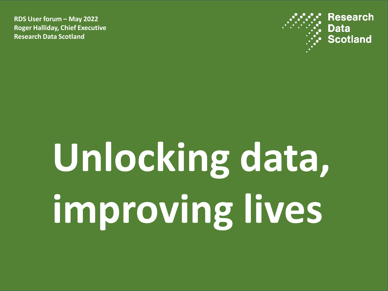**RDS User forum – May 2022 Roger Halliday, Chief Executive Research Data Scotland**



## **Unlocking data, improving lives**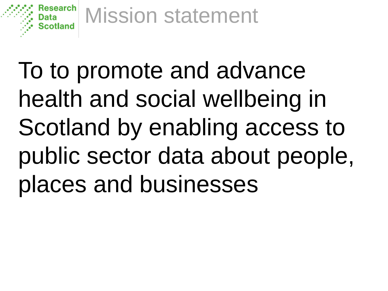

To to promote and advance health and social wellbeing in Scotland by enabling access to public sector data about people, places and businesses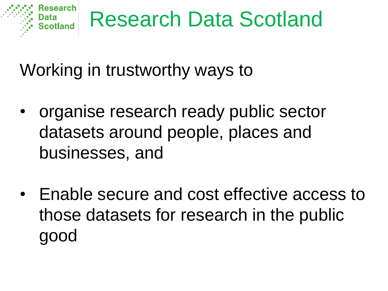

Working in trustworthy ways to

- organise research ready public sector datasets around people, places and businesses, and
- Enable secure and cost effective access to those datasets for research in the public good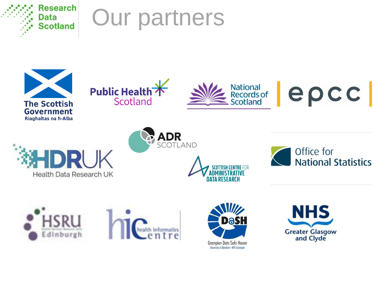







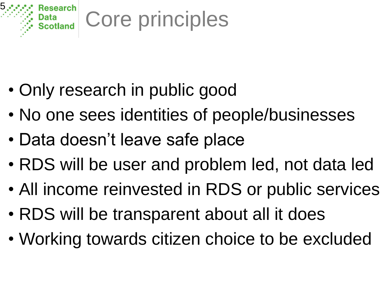

- Only research in public good
- No one sees identities of people/businesses
- Data doesn't leave safe place
- RDS will be user and problem led, not data led
- All income reinvested in RDS or public services
- RDS will be transparent about all it does
- Working towards citizen choice to be excluded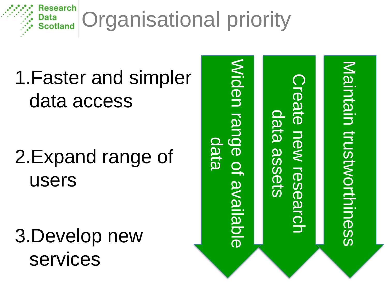

1.Faster and simpler data access

2.Expand range of users

3.Develop new services

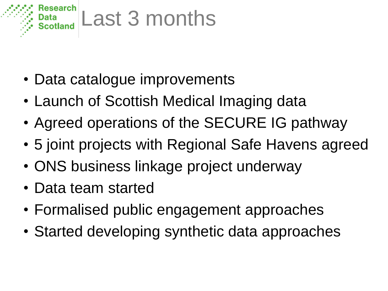

- Data catalogue improvements
- Launch of Scottish Medical Imaging data
- Agreed operations of the SECURE IG pathway
- 5 joint projects with Regional Safe Havens agreed
- ONS business linkage project underway
- Data team started
- Formalised public engagement approaches
- Started developing synthetic data approaches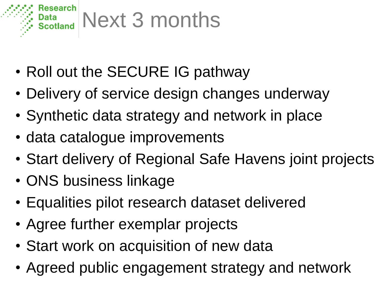

- Roll out the SECURE IG pathway
- Delivery of service design changes underway
- Synthetic data strategy and network in place
- data catalogue improvements
- Start delivery of Regional Safe Havens joint projects
- ONS business linkage
- Equalities pilot research dataset delivered
- Agree further exemplar projects
- Start work on acquisition of new data
- Agreed public engagement strategy and network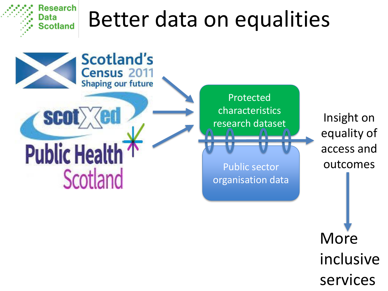## Research Better data on equalities Data **Scotland**



inclusive services